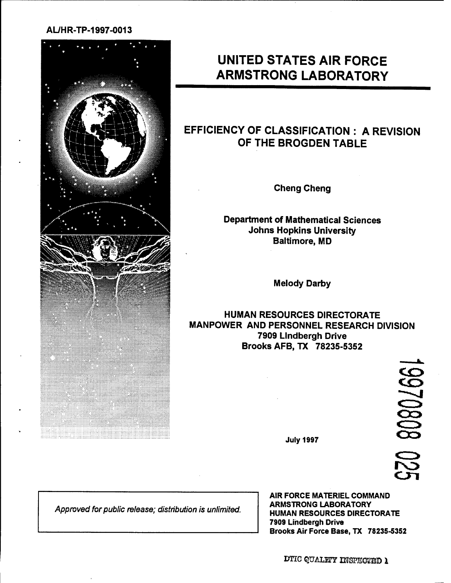### **AL/HR-TP-1997-0013**



# **UNITED STATES AIR FORCE ARMSTRONG LABORATORY**

## **EFFICIENCY OF CLASSIFICATION : A REVISION OF THE BROGDEN TABLE**

**Cheng Cheng**

**Department of Mathematical Sciences Johns Hopkins University Baltimore, MD**

**Melody Darby**

**HUMAN RESOURCES DIRECTORATE MANPOWER AND PERSONNEL RESEARCH DIVISION 7909 Lindbergh Drive Brooks AFB.TX 78235-5352**

> 18080/801 IN3

July 1997

*Approved for public release; distribution is unlimited.*

**AIR FORCE** MATERIEL COMMAND ARMSTRONG LABORATORY HUMAN RESOURCES DIRECTORATE 7909 Lindbergh Drive Brooks Air Force Base, TX 78235-5352

DTic QüäLKT *msesowb <sup>1</sup>*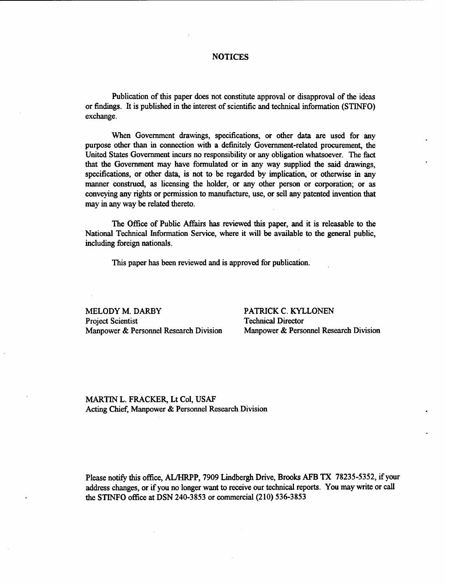#### NOTICES

Publication of this paper does not constitute approval or disapproval of the ideas or findings. It is published in the interest of scientific and technical information (STINFO) exchange.

When Government drawings, specifications, or other data are used for any purpose other than in connection with a definitely Government-related procurement, the United States Government incurs no responsibility or any obligation whatsoever. The fact that the Government may have formulated or in any way supplied the said drawings, specifications, or other data, is not to be regarded by implication, or otherwise in any manner construed, as licensing the holder, or any other person or corporation; or as conveying any rights or permission to manufacture, use, or sell any patented invention that may in any way be related thereto.

The Office of Public Affairs has reviewed this paper, and it is releasable to the National Technical Information Service, where it will be available to the general public, including foreign nationals.

This paper has been reviewed and is approved for publication.

MELODY M. DARBY PATRICK C. KYLLONEN Project Scientist Technical Director Manpower & Personnel Research Division Manpower & Personnel Research Division

MARTIN L. FRACKER, Lt Col, USAF Acting Chief, Manpower & Personnel Research Division

Please notify this office, AL/HRPP, 7909 Lindbergh Drive, Brooks AFB TX 78235-5352, ifyour address changes, or if you no longer want to receive our technical reports. You may write or call the STINFO office at DSN 240-3853 or commercial (210) 536-3853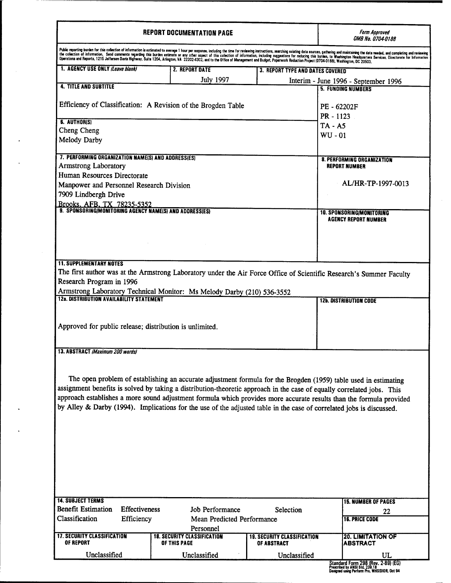### **REPORT DOCUMENTATION PAGE**

 $\blacksquare$ 

*OMB No. 0704-0!88*

| 1. AGENCY USE ONLY (Leave blank)                              |               | 2. REPORT DATE                                                                                                         | <b>3. REPORT TYPE AND DATES COVERED</b>           |                                             |
|---------------------------------------------------------------|---------------|------------------------------------------------------------------------------------------------------------------------|---------------------------------------------------|---------------------------------------------|
|                                                               |               | <b>July 1997</b>                                                                                                       |                                                   | Interim - June 1996 - September 1996        |
| <b>4. TITLE AND SUBTITLE</b>                                  |               |                                                                                                                        |                                                   | <b>5. FUNDING NUMBERS</b>                   |
|                                                               |               |                                                                                                                        |                                                   |                                             |
| Efficiency of Classification: A Revision of the Brogden Table |               | PE - 62202F                                                                                                            |                                                   |                                             |
| 6. AUTHOR(S)                                                  |               |                                                                                                                        |                                                   | PR - 1123                                   |
| Cheng Cheng                                                   |               |                                                                                                                        |                                                   | $TA - A5$                                   |
| Melody Darby                                                  |               |                                                                                                                        |                                                   | $WU - 01$                                   |
|                                                               |               |                                                                                                                        |                                                   |                                             |
| 7. PERFORMING ORGANIZATION NAME(S) AND ADDRESS(ES)            |               |                                                                                                                        |                                                   | <b>8. PERFORMING ORGANIZATION</b>           |
| Armstrong Laboratory                                          |               |                                                                                                                        |                                                   | <b>REPORT NUMBER</b>                        |
| Human Resources Directorate                                   |               |                                                                                                                        |                                                   |                                             |
| Manpower and Personnel Research Division                      |               |                                                                                                                        |                                                   | AL/HR-TP-1997-0013                          |
| 7909 Lindbergh Drive                                          |               |                                                                                                                        |                                                   |                                             |
|                                                               |               | Brooks, AFB, TX 78235-5352<br>9. Sponsoring/Monitoring Agency Name(s) and Address(es)                                  |                                                   |                                             |
|                                                               |               |                                                                                                                        |                                                   | <b>10. SPONSORING/MONITORING</b>            |
|                                                               |               |                                                                                                                        |                                                   | <b>AGENCY REPORT NUMBER</b>                 |
|                                                               |               |                                                                                                                        |                                                   |                                             |
|                                                               |               |                                                                                                                        |                                                   |                                             |
|                                                               |               |                                                                                                                        |                                                   |                                             |
| <b>11. SUPPLEMENTARY NOTES</b>                                |               |                                                                                                                        |                                                   |                                             |
|                                                               |               | The first author was at the Armstrong Laboratory under the Air Force Office of Scientific Research's Summer Faculty    |                                                   |                                             |
| Research Program in 1996                                      |               |                                                                                                                        |                                                   |                                             |
|                                                               |               |                                                                                                                        |                                                   |                                             |
|                                                               |               |                                                                                                                        |                                                   |                                             |
| 12a. DISTRIBUTION AVAILABILITY STATEMENT                      |               | Armstrong Laboratory Technical Monitor: Ms Melody Darby (210) 536-3552                                                 |                                                   | <b>12b. DISTRIBUTION CODE</b>               |
|                                                               |               |                                                                                                                        |                                                   |                                             |
|                                                               |               |                                                                                                                        |                                                   |                                             |
|                                                               |               | Approved for public release; distribution is unlimited.                                                                |                                                   |                                             |
|                                                               |               |                                                                                                                        |                                                   |                                             |
|                                                               |               |                                                                                                                        |                                                   |                                             |
| 13. ABSTRACT (Maximum 200 words)                              |               |                                                                                                                        |                                                   |                                             |
|                                                               |               |                                                                                                                        |                                                   |                                             |
|                                                               |               |                                                                                                                        |                                                   |                                             |
|                                                               |               | The open problem of establishing an accurate adjustment formula for the Brogden (1959) table used in estimating        |                                                   |                                             |
|                                                               |               | assignment benefits is solved by taking a distribution-theoretic approach in the case of equally correlated jobs. This |                                                   |                                             |
|                                                               |               | approach establishes a more sound adjustment formula which provides more accurate results than the formula provided    |                                                   |                                             |
|                                                               |               | by Alley & Darby (1994). Implications for the use of the adjusted table in the case of correlated jobs is discussed.   |                                                   |                                             |
|                                                               |               |                                                                                                                        |                                                   |                                             |
|                                                               |               |                                                                                                                        |                                                   |                                             |
|                                                               |               |                                                                                                                        |                                                   |                                             |
|                                                               |               |                                                                                                                        |                                                   |                                             |
|                                                               |               |                                                                                                                        |                                                   |                                             |
|                                                               |               |                                                                                                                        |                                                   |                                             |
|                                                               |               |                                                                                                                        |                                                   |                                             |
|                                                               |               |                                                                                                                        |                                                   |                                             |
|                                                               |               |                                                                                                                        |                                                   |                                             |
| <b>14. SUBJECT TERMS</b>                                      |               |                                                                                                                        |                                                   | <b>15. NUMBER OF PAGES</b>                  |
| <b>Benefit Estimation</b>                                     | Effectiveness | Job Performance                                                                                                        | Selection                                         | 22                                          |
| Classification                                                | Efficiency    | Mean Predicted Performance                                                                                             |                                                   | <b>16. PRICE CODE</b>                       |
|                                                               |               | Personnel                                                                                                              |                                                   |                                             |
| <b>17. SECURITY CLASSIFICATION</b><br><b>OF REPORT</b>        |               | <b>18. SECURITY CLASSIFICATION</b><br>OF THIS PAGE                                                                     | <b>19. SECURITY CLASSIFICATION</b><br>OF ABSTRACT | <b>20. LIMITATION OF</b><br><b>ABSTRACT</b> |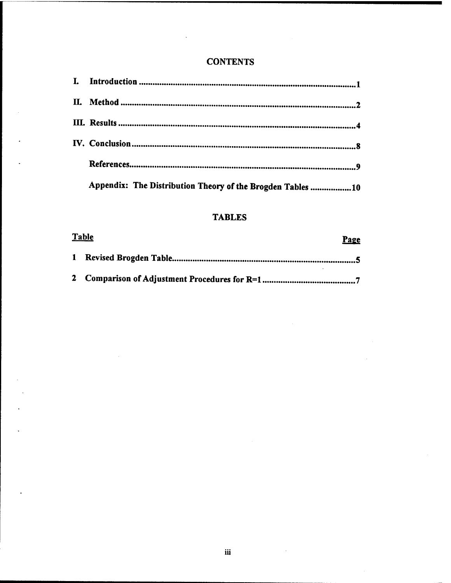### **CONTENTS**

| Appendix: The Distribution Theory of the Brogden Tables 10 |
|------------------------------------------------------------|

### **TABLES**

| <u>Table</u><br><b>Page</b> |
|-----------------------------|
|                             |
|                             |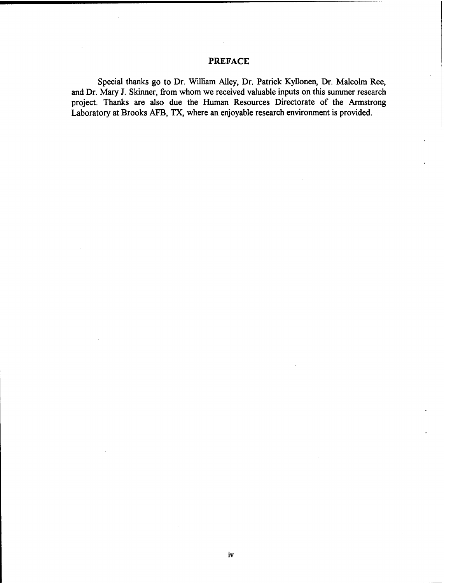### PREFACE

Special thanks go to Dr. William Alley, Dr. Patrick Kyllonen, Dr. Malcolm Ree, and Dr. Mary J. Skinner, from whom we received valuable inputs on this summer research project. Thanks are also due the Human Resources Directorate of the Armstrong Laboratory at Brooks AFB, TX, where an enjoyable research environment is provided.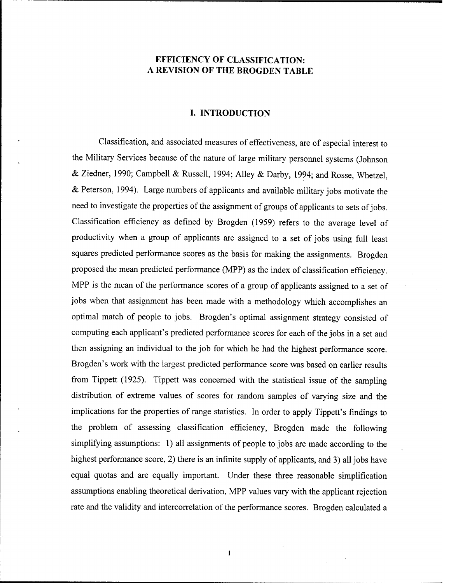### **EFFICIENCY OF CLASSIFICATION: A REVISION OF THE BROGDEN TABLE**

### **I. INTRODUCTION**

Classification, and associated measures of effectiveness, are of especial interest to the Military Services because of the nature of large military personnel systems (Johnson & Ziedner, 1990; Campbell & Russell, 1994; Alley & Darby, 1994; and Rosse, Whetzel, & Peterson, 1994). Large numbers of applicants and available military jobs motivate the need to investigate the properties of the assignment of groups of applicants to sets of jobs. Classification efficiency as defined by Brogden (1959) refers to the average level of productivity when a group of applicants are assigned to a set of jobs using full least squares predicted performance scores as the basis for making the assignments. Brogden proposed the mean predicted performance (MPP) as the index of classification efficiency. MPP is the mean of the performance scores of a group of applicants assigned to a set of jobs when that assignment has been made with a methodology which accomplishes an optimal match of people to jobs. Brogden's optimal assignment strategy consisted of computing each applicant's predicted performance scores for each of the jobs in a set and then assigning an individual to the job for which he had the highest performance score. Brogden's work with the largest predicted performance score was based on earlier results from Tippett (1925). Tippett was concerned with the statistical issue of the sampling distribution of extreme values of scores for random samples of varying size and the implications for the properties of range statistics. In order to apply Tippett's findings to the problem of assessing classification efficiency, Brogden made the following simplifying assumptions: 1) all assignments of people to jobs are made according to the highest performance score, 2) there is an infinite supply of applicants, and 3) all jobs have equal quotas and are equally important. Under these three reasonable simplification assumptions enabling theoretical derivation, MPP values vary with the applicant rejection rate and the validity and intercorrelation of the performance scores. Brogden calculated a

 $\mathbf{1}$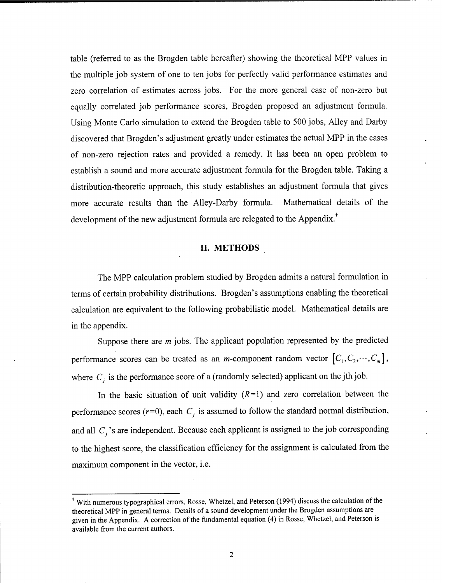table (referred to as the Brogden table hereafter) showing the theoretical MPP values in the multiple job system of one to ten jobs for perfectly valid performance estimates and zero correlation of estimates across jobs. For the more general case of non-zero but equally correlated job performance scores, Brogden proposed an adjustment formula. Using Monte Carlo simulation to extend the Brogden table to 500 jobs, Alley and Darby discovered that Brogden's adjustment greatly under estimates the actual MPP in the cases of non-zero rejection rates and provided a remedy. It has been an open problem to establish a sound and more accurate adjustment formula for the Brogden table. Taking a distribution-theoretic approach, this study establishes an adjustment formula that gives more accurate results than the Alley-Darby formula. Mathematical details of the development of the new adjustment formula are relegated to the Appendix.<sup>†</sup>

### **II. METHODS**

The MPP calculation problem studied by Brogden admits a natural formulation in terms of certain probability distributions. Brogden's assumptions enabling the theoretical calculation are equivalent to the following probabilistic model. Mathematical details are in the appendix.

Suppose there are *m* jobs. The applicant population represented by the predicted performance scores can be treated as an *m*-component random vector  $[C_1, C_2, \dots, C_m]$ , where  $C_j$  is the performance score of a (randomly selected) applicant on the jth job.

In the basic situation of unit validity  $(R=1)$  and zero correlation between the performance scores ( $r=0$ ), each  $C_i$  is assumed to follow the standard normal distribution, and all  $C_j$ 's are independent. Because each applicant is assigned to the job corresponding to the highest score, the classification efficiency for the assignment is calculated from the maximum component in the vector, i.e.

<sup>&</sup>lt;sup>+</sup> With numerous typographical errors, Rosse, Whetzel, and Peterson (1994) discuss the calculation of the theoretical MPP in general terms. Details of a sound development under the Brogden assumptions are given in the Appendix. A correction of the fundamental equation (4) in Rosse, Whetzel, and Peterson is available from the current authors.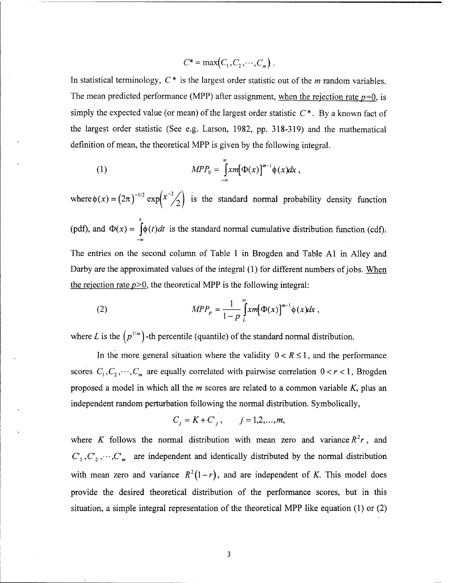$$
C^* = \max(C_1, C_2, \cdots, C_m).
$$

In statistical terminology, C \* is the largest order statistic out of the *m* random variables. The mean predicted performance (MPP) after assignment, when the rejection rate *p=0.* is simply the expected value (or mean) of the largest order statistic  $C^*$ . By a known fact of the largest order statistic (See e.g. Larson, 1982, pp. 318-319) and the mathematical definition of mean, the theoretical MPP is given by the following integral.

(1) 
$$
MPP_0 = \int_{-\infty}^{\infty} x m [\Phi(x)]^{m-1} \phi(x) dx,
$$

where  $\phi(x) = (2\pi)^{-1/2} \exp\left(x^{-2} \frac{1}{2}\right)$  is the standard normal probability density function *x* (pdf), and  $\Phi(x) = |\phi(t)dt|$  is the standard normal cumulative distribution function (cdf). **-co** The entries on the second column of Table <sup>1</sup> in Brogden and Table Al in Alley and Darby are the approximated values of the integral  $(1)$  for different numbers of jobs. When the rejection rate  $p>0$ , the theoretical MPP is the following integral:

(2) 
$$
MPP_p = \frac{1}{1-p} \int_L^{\infty} x m [\Phi(x)]^{m-1} \phi(x) dx,
$$

where L is the  $(p^{1/m})$  -th percentile (quantile) of the standard normal distribution.

In the more general situation where the validity  $0 < R \le 1$ , and the performance scores  $C_1, C_2, \dots, C_m$  are equally correlated with pairwise correlation  $0 < r < 1$ , Brogden proposed a model in which all the *m* scores are related to a common variable *K,* plus an independent random perturbation following the normal distribution. Symbolically,

$$
C_j = K + C_j
$$
,  $j = 1, 2, ..., m$ ,

where *K* follows the normal distribution with mean zero and variance  $R^2r$ , and  $C_1, C_2, \cdots, C_m$  are independent and identically distributed by the normal distribution with mean zero and variance  $R^2(1-r)$ , and are independent of *K*. This model does provide the desired theoretical distribution of the performance scores, but in this situation, a simple integral representation of the theoretical MPP like equation (1) or (2)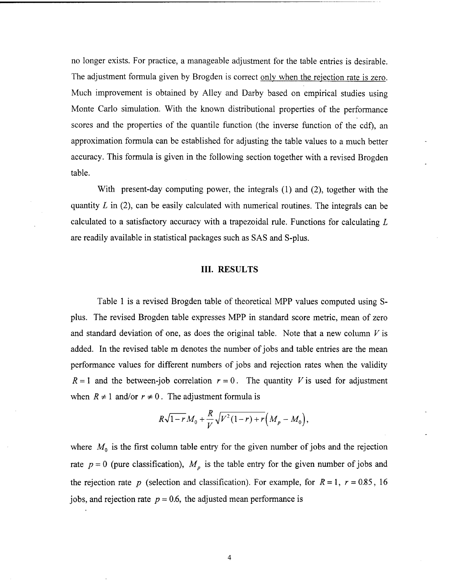no longer exists. For practice, a manageable adjustment for the table entries is desirable. The adjustment formula given by Brogden is correct only when the rejection rate is zero. Much improvement is obtained by Alley and Darby based on empirical studies using Monte Carlo simulation. With the known distributional properties of the performance scores and the properties of the quantile function (the inverse function of the cdf), an approximation formula can be established for adjusting the table values to a much better accuracy. This formula is given in the following section together with a revised Brogden table.

With present-day computing power, the integrals (1) and (2), together with the quantity *L* in (2), can be easily calculated with numerical routines. The integrals can be calculated to a satisfactory accuracy with a trapezoidal rule. Functions for calculating *L* are readily available in statistical packages such as SAS and S-plus.

#### III. RESULTS

Table <sup>1</sup> is a revised Brogden table of theoretical MPP values computed using Splus. The revised Brogden table expresses MPP in standard score metric, mean of zero and standard deviation of one, as does the original table. Note that a new column *V* is added. In the revised table m denotes the number of jobs and table entries are the mean performance values for different numbers of jobs and rejection rates when the validity  $R = 1$  and the between-job correlation  $r = 0$ . The quantity *V* is used for adjustment when  $R \neq 1$  and/or  $r \neq 0$ . The adjustment formula is

$$
R\sqrt{1-r}M_0 + \frac{R}{V}\sqrt{V^2(1-r) + r}(M_p - M_0),
$$

where  $M_0$  is the first column table entry for the given number of jobs and the rejection rate  $p = 0$  (pure classification),  $M_p$  is the table entry for the given number of jobs and the rejection rate *p* (selection and classification). For example, for  $R = 1$ ,  $r = 0.85$ , 16 jobs, and rejection rate  $p = 0.6$ , the adjusted mean performance is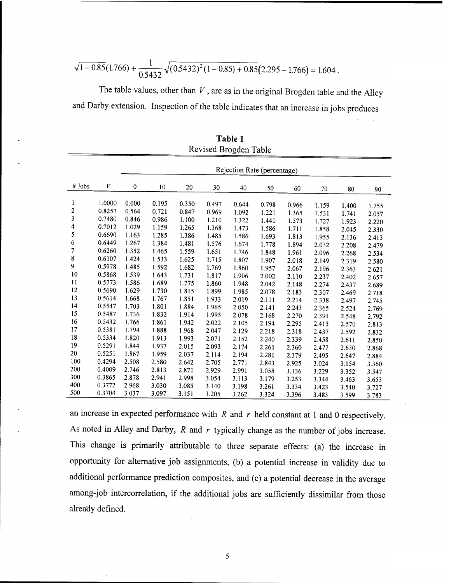$$
\sqrt{1-0.85}(1.766) + \frac{1}{0.5432}\sqrt{(0.5432)^2(1-0.85) + 0.85}(2.295 - 1.766) = 1.604.
$$

The table values, other than *<sup>V</sup>*, are as in the original Brogden table and the Alley and Darby extension. Inspection of the table indicates that an increase in jobs produces

|                  |        | Rejection Rate (percentage) |       |       |           |       |       |       |       |       |       |
|------------------|--------|-----------------------------|-------|-------|-----------|-------|-------|-------|-------|-------|-------|
|                  |        |                             |       |       |           |       |       |       |       |       |       |
| # Jobs           | V      | $\mathbf{0}$                | 10    | 20    | 30        | 40    | 50    | 60    | 70    | 80    | 90    |
| 1                | 1.0000 | 0.000                       | 0.195 | 0.350 | 0.497     | 0.644 | 0.798 | 0.966 |       |       |       |
| $\boldsymbol{2}$ | 0.8257 | 0.564                       | 0.721 | 0.847 | 0.969     | 1.092 |       |       | 1.159 | 1.400 | 1.755 |
| 3                | 0.7480 | 0.846                       | 0.986 | 1.100 | 1.210     | 1.322 | 1.221 | 1.365 | 1.531 | 1.741 | 2.057 |
| 4                | 0.7012 | 1.029                       | 1.159 | 1.265 |           |       | 1.441 | 1.573 | 1.727 | 1.923 | 2.220 |
| 5                | 0.6690 | 1.163                       | 1.285 |       | 1.368     | 1.473 | 1.586 | 1.711 | 1.858 | 2.045 | 2.330 |
| 6                | 0.6449 | 1.267                       |       | 1.386 | $1.485$ . | 1.586 | 1.693 | 1.813 | 1.955 | 2.136 | 2.413 |
| 7                |        |                             | 1.384 | 1.481 | 1.576     | 1.674 | 1.778 | 1.894 | 2.032 | 2.208 | 2.479 |
|                  | 0.6260 | 1.352                       | 1.465 | 1.559 | 1.651     | 1.746 | 1.848 | 1.961 | 2.096 | 2.268 | 2.534 |
| $\bf 8$          | 0.6107 | 1.424                       | 1.533 | 1.625 | 1.715     | 1.807 | 1.907 | 2.018 | 2.149 | 2.319 | 2.580 |
| 9                | 0.5978 | 1.485                       | 1.592 | 1.682 | 1.769     | 1.860 | 1.957 | 2.067 | 2.196 | 2.363 | 2.621 |
| 10               | 0.5868 | 1.539                       | 1.643 | 1.731 | 1.817     | 1.906 | 2.002 | 2.110 | 2.237 | 2.402 | 2.657 |
| 11               | 0.5773 | 1.586                       | 1.689 | 1.775 | 1.860     | 1.948 | 2.042 | 2.148 | 2.274 | 2.437 | 2.689 |
| 12               | 0.5690 | 1.629                       | 1.730 | 1.815 | 1.899     | 1.985 | 2.078 | 2.183 | 2.307 | 2.469 | 2.718 |
| 13               | 0.5614 | 1.668                       | 1.767 | 1.851 | 1.933     | 2.019 | 2.111 | 2.214 | 2.338 | 2.497 | 2.745 |
| 14               | 0.5547 | 1.703                       | 1.801 | 1.884 | 1.965     | 2.050 | 2.141 | 2.243 | 2.365 | 2.524 | 2.769 |
| 15               | 0.5487 | 1.736                       | 1.832 | 1.914 | 1.995     | 2.078 | 2.168 | 2.270 | 2.391 | 2.548 | 2.792 |
| 16               | 0.5432 | 1.766                       | 1.861 | 1.942 | 2.022     | 2.105 | 2.194 | 2.295 | 2.415 | 2.570 | 2.813 |
| 17               | 0.5381 | 1.794                       | 1.888 | 1.968 | 2.047     | 2.129 | 2.218 | 2.318 | 2.437 | 2.592 | 2.832 |
| 18               | 0.5334 | 1.820                       | 1.913 | 1.993 | 2.071     | 2.152 | 2.240 | 2.339 | 2.458 | 2.611 | 2.850 |
| 19               | 0.5291 | 1.844                       | 1.937 | 2.015 | 2.093     | 2.174 | 2.261 | 2.360 | 2.477 | 2.630 | 2.868 |
| 20               | 0.5251 | 1.867                       | 1.959 | 2.037 | 2.114     | 2.194 | 2.281 | 2.379 | 2.495 | 2.647 |       |
| 100              | 0.4294 | 2.508                       | 2.580 | 2.642 | 2.705     | 2.771 | 2.843 | 2.925 | 3.024 |       | 2.884 |
| 200              | 0.4009 | 2.746                       | 2.813 | 2.871 | 2.929     | 2.991 |       |       |       | 3.154 | 3.360 |
| 300              | 0.3865 | 2.878                       | 2.941 | 2.998 | 3.054     | 3.113 | 3.058 | 3.136 | 3.229 | 3.352 | 3.547 |
| 400              | 0.3772 | 2.968                       | 3.030 | 3.085 | 3.140     |       | 3.179 | 3.253 | 3.344 | 3.463 | 3.653 |
| 500              | 0.3704 | 3.037                       | 3.097 |       |           | 3.198 | 3.261 | 3.334 | 3.423 | 3.540 | 3.727 |
|                  |        |                             |       | 3.151 | 3.205     | 3.262 | 3.324 | 3.396 | 3.483 | 3.599 | 3.783 |

**Table <sup>1</sup>** Revised Brogden Table

an increase in expected performance with *R* and *r* held constant at <sup>1</sup> and 0 respectively. As noted in Alley and Darby, *R* and *r* typically change as the number of jobs increase. This change is primarily attributable to three separate effects: (a) the increase in opportunity for alternative job assignments, (b) a potential increase in validity due to additional performance prediction composites, and (c) a potential decrease in the average among-job intercorrelation, if the additional jobs are sufficiently dissimilar from those already defined.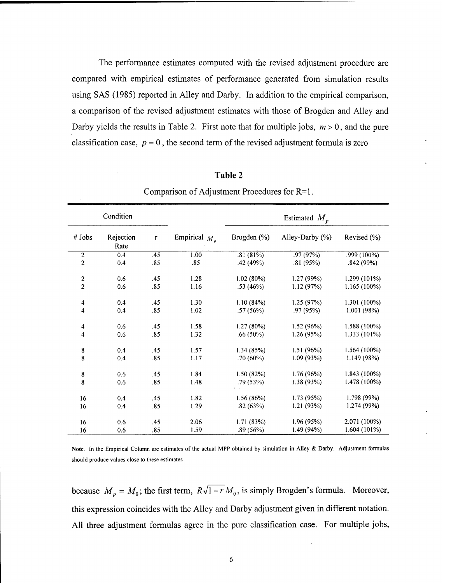The performance estimates computed with the revised adjustment procedure are compared with empirical estimates of performance generated from simulation results using SAS (1985) reported in Alley and Darby. In addition to the empirical comparison, a comparison of the revised adjustment estimates with those of Brogden and Alley and Darby yields the results in Table 2. First note that for multiple jobs,  $m > 0$ , and the pure classification case,  $p = 0$ , the second term of the revised adjustment formula is zero

| Condition                                   |     |                   |                 | Estimated $M_p$       |                 |                |  |  |
|---------------------------------------------|-----|-------------------|-----------------|-----------------------|-----------------|----------------|--|--|
| Rejection<br># Jobs<br>$\mathbf{r}$<br>Rate |     | Empirical $M_{p}$ | Brogden $(\% )$ | Alley-Darby $(\% )$   | Revised $(\% )$ |                |  |  |
| $\overline{2}$                              | 0.4 | .45               | 1.00            | .81(81%)              | .97 (97%)       | .999 (100%)    |  |  |
| $\mathbf{2}$                                | 0.4 | .85               | .85             | .42(49%)              | .81(95%)        | .842(99%)      |  |  |
| $\boldsymbol{2}$                            | 0.6 | .45               | 1.28            | 1.02(80%)             | 1.27(99%)       | 1.299 (101%)   |  |  |
| $\overline{c}$                              | 0.6 | .85               | 1.16            | .53(46%)              | 1.12(97%)       | $1.165(100\%)$ |  |  |
| 4                                           | 0.4 | .45               | 1.30            | 1.10(84%)             | 1.25(97%)       | 1.301 (100%)   |  |  |
| 4                                           | 0.4 | .85               | 1.02            | .57(56%)              | .97 (95%)       | 1.001(98%)     |  |  |
| $\overline{\mathbf{4}}$                     | 0.6 | .45               | 1.58            | 1.27(80%)             | 1.52 (96%)      | $1.588(100\%)$ |  |  |
| 4                                           | 0.6 | .85               | 1.32            | $.66(50\%)$           | 1.26(95%)       | 1.333 (101%)   |  |  |
| ${\bf 8}$                                   | 0.4 | .45               | 1.57            | 1.34(85%)             | 1.51(96%)       | 1.564 (100%)   |  |  |
| 8                                           | 0.4 | .85               | 1.17            | .70(60%)              | 1.09(93%)       | 1.149(98%)     |  |  |
| ${\bf 8}$                                   | 0.6 | .45               | 1.84            | 1.50(82%)             | 1.76 (96%)      | $1.843(100\%)$ |  |  |
| 8                                           | 0.6 | .85               | 1.48            | 1.38(93%)<br>.79(53%) |                 | 1.478 (100%)   |  |  |
| 16                                          | 0.4 | .45               | 1.82            | 1.56(86%)             | 1.73(95%)       | 1.798 (99%)    |  |  |
| 16                                          | 0.4 | .85               | 1.29            | .82(63%)              | 1.21(93%)       | 1.274 (99%)    |  |  |
| 16                                          | 0.6 | .45               | 2.06            | 1.71(83%)             | 1.96(95%)       | 2.071 (100%)   |  |  |
| 16                                          | 0.6 | .85               | 1.59            | .89(56%)              | 1.49 (94%)      | 1.604(101%)    |  |  |

**Table 2**

Comparison of Adjustment Procedures for R=l.

Note. In the Empirical Column are estimates of the actual MPP obtained by simulation in Alley & Darby. Adjustment formulas should produce values close to these estimates

because  $M_p = M_0$ ; the first term,  $R\sqrt{1-r}M_0$ , is simply Brogden's formula. Moreover, this expression coincides with the Alley and Darby adjustment given in different notation. All three adjustment formulas agree in the pure classification case. For multiple jobs,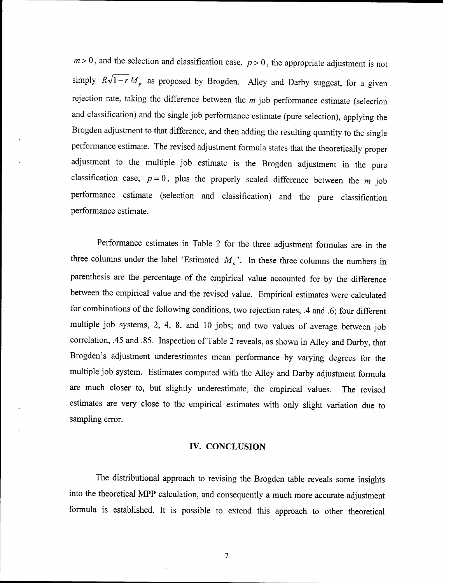$m>0$ , and the selection and classification case,  $p>0$ , the appropriate adjustment is not simply  $R\sqrt{1-r}M$ <sup>p</sup> as proposed by Brogden. Alley and Darby suggest, for a given rejection rate, taking the difference between the *m* job performance estimate (selection and classification) and the single job performance estimate (pure selection), applying the Brogden adjustment to that difference, and then adding the resulting quantity to the single performance estimate. The revised adjustment formula states that the theoretically proper adjustment to the multiple job estimate is the Brogden adjustment in the pure classification case,  $p = 0$ , plus the properly scaled difference between the *m* job performance estimate (selection and classification) and the pure classification performance estimate.

Performance estimates in Table 2 for the three adjustment formulas are in the three columns under the label 'Estimated  $M_p$ <sup>'</sup>. In these three columns the numbers in parenthesis are the percentage of the empirical value accounted for by the difference between the empirical value and the revised value. Empirical estimates were calculated for combinations of the following conditions, two rejection rates, .4 and .6; four different multiple job systems, 2, 4, 8, and 10 jobs; and two values of average between job correlation, .45 and .85. Inspection of Table 2 reveals, as shown in Alley and Darby, that Brogden's adjustment underestimates mean performance by varying degrees for the multiple job system. Estimates computed with the Alley and Darby adjustment formula are much closer to, but slightly underestimate, the empirical values. The revised estimates are very close to the empirical estimates with only slight variation due to sampling error.

#### IV. CONCLUSION

The distributional approach to revising the Brogden table reveals some insights into the theoretical MPP calculation, and consequently a much more accurate adjustment formula is established. It is possible to extend this approach to other theoretical

 $\boldsymbol{7}$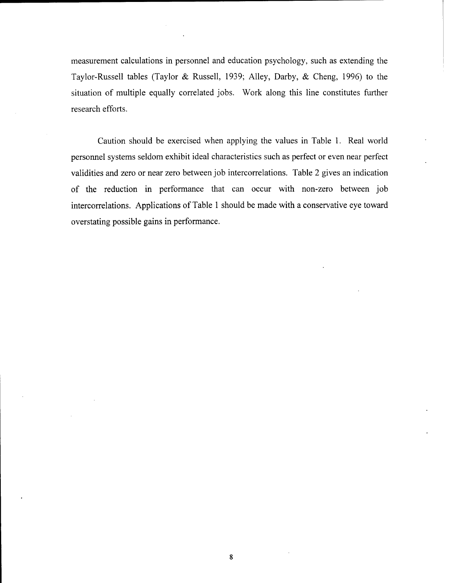measurement calculations in personnel and education psychology, such as extending the Taylor-Russell tables (Taylor & Russell, 1939; Alley, Darby, & Cheng, 1996) to the situation of multiple equally correlated jobs. Work along this line constitutes further research efforts.

Caution should be exercised when applying the values in Table 1. Real world personnel systems seldom exhibit ideal characteristics such as perfect or even near perfect validities and zero or near zero between job intercorrelations. Table 2 gives an indication of the reduction in performance that can occur with non-zero between job intercorrelations. Applications of Table <sup>1</sup> should be made with a conservative eye toward overstating possible gains in performance.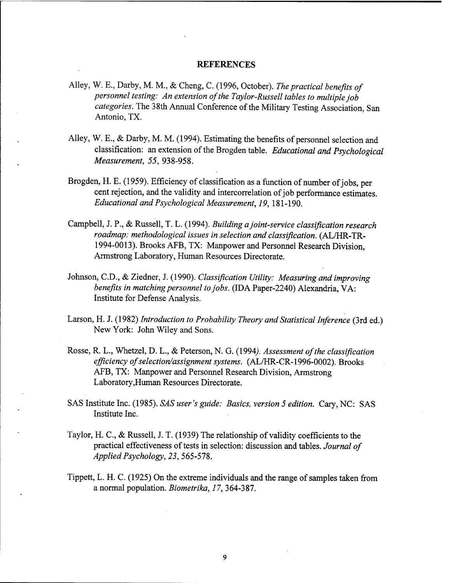#### **REFERENCES**

- Alley, W. E., Darby, M. M, & Cheng, C. (1996, October). *The practical benefits of personnel testing: An extension ofthe Taylor-Russell tables to multiple job* categories. The 38th Annual Conference of the Military Testing Association, San Antonio, TX.
- Alley, W. E., & Darby, M. M. (1994). Estimating the benefits of personnel selection and classification: an extension of the Brogden table. *Educational and Psychological Measurement, 55,* 938-958.
- Brogden, H. E. (1959). Efficiency of classification as a function of number of jobs, per cent rejection, and the validity and intercorrelation of job performance estimates. *Educational and Psychological Measurement, 19,*181-190.
- Campbell, J. P., & Russell, T. L. (1994). *Building ajoint-service classification research roadmap: methodological issues in selection and classification.* (AL/HR-TR-1994-0013). Brooks AFB, TX: Manpower and Personnel Research Division, Armstrong Laboratory, Human Resources Directorate.
- Johnson, CD., & Ziedner, J. (1990). *Classification Utility: Measuring and improving benefits in matching personnel to jobs.* (IDA Paper-2240) Alexandria, VA: Institute for Defense Analysis.
- Larson, H. J. (1982) *Introduction to Probability Theory and Statistical Inference* (3rd ed.) New York: John Wiley and Sons.
- Rosse, R. L., Whetzel, D. L., & Peterson, N. G. (1994). Assessment of the classification *efficiency ofselection/assignment systems.* (AL/HR-CR-1996-0002). Brooks AFB, TX: Manpower and Personnel Research Division, Armstrong Laboratory,Human Resources Directorate.
- SAS Institute Inc. (1985). *SAS user's guide: Basics, version 5 edition.* Cary, NC: SAS Institute Inc.
- Taylor, H. C, & Russell, J. T. (1939) The relationship of validity coefficients to the practical effectiveness of tests in selection: discussion and tables. *Journal of Applied Psychology, 23,* 565-578.
- Tippett, L. H. C. (1925) On the extreme individuals and the range of samples taken from a normal population. *Biometrika, 17,* 364-387.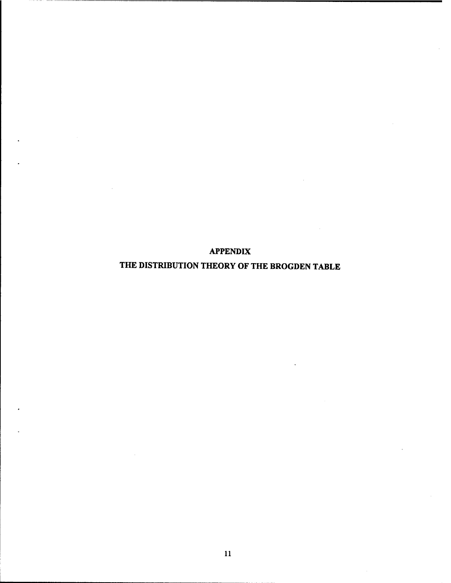**APPENDIX**

**THE DISTRIBUTION THEORY OF THE BROGDEN TABLE**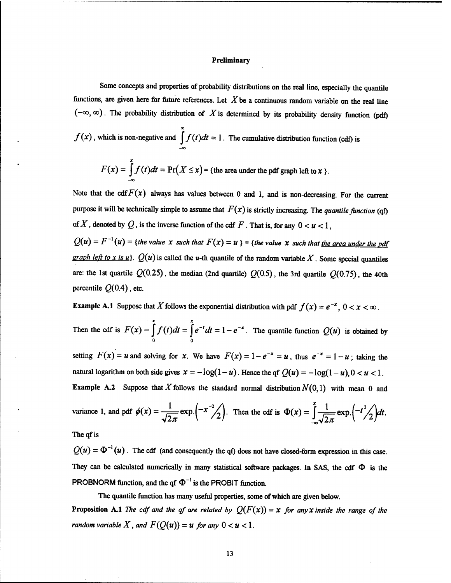#### **Preliminary**

Some concepts and properties of probability distributions on the real line, especially the quantile functions, are given here for future references. Let *X*be <sup>a</sup> continuous random variable on the real line  $(-\infty, \infty)$ . The probability distribution of X is determined by its probability density function (pdf)

$$
f(x)
$$
, which is non-negative and 
$$
\int_{-\infty}^{\infty} f(t)dt = 1
$$
. The cumulative distribution function (cdf) is\n
$$
F(x) = \int_{-\infty}^{x} f(t)dt = \Pr(X \le x) = \text{the area under the pdf graph left to } x.
$$

Note that the  $\text{cdf } F(x)$  always has values between 0 and 1, and is non-decreasing. For the current purpose it will be technically simple to assume that  $F(x)$  is strictly increasing. The *quantile function* (qf) of X, denoted by Q, is the inverse function of the cdf  $F$ . That is, for any  $0 < u < 1$ ,

 $Q(u) = F^{-1}(u)$  = {the value  $x$  such that  $F(x) = u$ } = {the value  $x$  such that <u>the area under the pdf</u> *graph left to x is u*}.  $Q(u)$  is called the *u*-th quantile of the random variable X. Some special quantiles are: the 1st quartile  $Q(0.25)$ , the median (2nd quartile)  $Q(0.5)$ , the 3rd quartile  $Q(0.75)$ , the 40th percentile  $Q(0.4)$ , etc.

**Example A.1** Suppose that *X* follows the exponential distribution with pdf  $f(x) = e^{-x}$ ,  $0 < x < \infty$ .

Then the cdf is  $F(x) = \int_a^x f(t)dt = \int_a^x e^{-t}dt = 1 - e^{-x}$ . The quantile function  $Q(u)$  is obtained by o o

setting  $F(x) = u$  and solving for *x*. We have  $F(x) = 1 - e^{-x} = u$ , thus  $e^{-x} = 1 - u$ ; taking the natural logarithm on both side gives  $x = -\log(1 - u)$ . Hence the qf  $Q(u) = -\log(1 - u)$ ,  $0 < u < 1$ . **Example A.2** Suppose that X follows the standard normal distribution  $N(0,1)$  with mean 0 and

variance 1, and pdf 
$$
\phi(x) = \frac{1}{\sqrt{2\pi}} \exp\left(-x^{-2}/2\right)
$$
. Then the cdf is  $\Phi(x) = \int_{-\infty}^{x} \frac{1}{\sqrt{2\pi}} \exp\left(-t^{2}/2\right) dt$ .

The qf is

 $Q(u) = \Phi^{-1}(u)$ . The cdf (and consequently the qf) does not have closed-form expression in this case. They can be calculated numerically in many statistical software packages. In SAS, the cdf  $\Phi$  is the PROBNORM function, and the qf  $\Phi^{-1}$  is the PROBIT function.

The quantile function has many useful properties, some of which are given below. **Proposition A.1** The cdf and the qf are related by  $Q(F(x)) = x$  for any *X* inside the range of the *random variable*  $X$ *, and*  $F(Q(u)) = u$  *for any*  $0 < u < 1$ .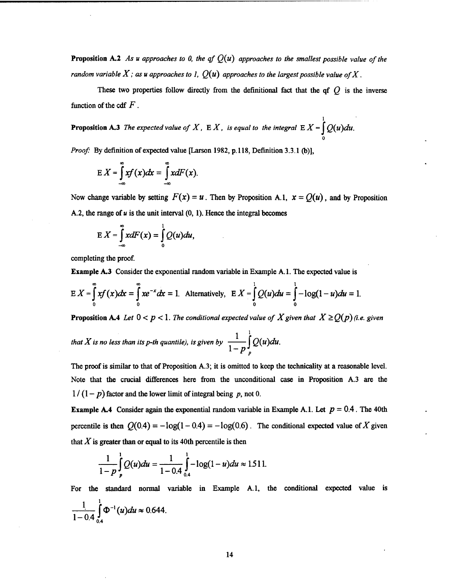**Proposition A.2** As *u* approaches to 0, the qf  $Q(u)$  approaches to the smallest possible value of the *random variable*  $X$ ; *as u approaches to 1,*  $Q(u)$  *approaches to the largest possible value of*  $X$ .

These two properties follow directly from the definitional fact that the  $\alpha f$  is the inverse function of the cdf  $F$ .

**Proposition A.3** The expected value of  $X$ ,  $E X$ , is equal to the integral  $E X = \int_{0}^{1} Q(u) du$ . o

*Proof:* By definition of expected value [Larson 1982, p.118, Definition 3.3.1 (b)],

$$
E X = \int_{-\infty}^{\infty} x f(x) dx = \int_{-\infty}^{\infty} x dF(x).
$$

Now change variable by setting  $F(x) = u$ . Then by Proposition A.1,  $x = Q(u)$ , and by Proposition A.2, the range of  $u$  is the unit interval  $(0, 1)$ . Hence the integral becomes

$$
E X = \int_{-\infty}^{\infty} x dF(x) = \int_{0}^{1} Q(u) du,
$$

completing the proof.

Example A.3 Consider the exponential random variable in Example A. 1. The expected value is

completing the proof.  
\n**Example A.3** Consider the exponential random variable in Example A.1. The expected value is  
\n
$$
E X = \int_{0}^{\infty} xf(x) dx = \int_{0}^{\infty} xe^{-x} dx = 1.
$$
 Alternatively, 
$$
E X = \int_{0}^{1} Q(u) du = \int_{0}^{1} -\log(1-u) du = 1.
$$

**Proposition A.4** Let  $0 < p < 1$ . The conditional expected value of X given that  $X \ge Q(p)$  (i.e. given

that X is no less than its p-th quantile), is given by  $\frac{1}{1-p} \int\limits_{p}^{1} Q(u) du$ .

The proof is similar to that of Proposition A.3; it is omitted to keep the technicality at a reasonable level. Note that the crucial differences here from the unconditional case in Proposition A.3 are the  $1/(1-p)$  factor and the lower limit of integral being p, not 0.

**Example A.4** Consider again the exponential random variable in Example A.1. Let  $p = 0.4$ . The 40th percentile is then  $Q(0.4) = -\log(1 - 0.4) = -\log(0.6)$ . The conditional expected value of X given that  $X$  is greater than or equal to its 40th percentile is then

$$
\frac{1}{1-p}\int_{p}^{1}Q(u)du=\frac{1}{1-0.4}\int_{0.4}^{1}-\log(1-u)du\approx 1.511.
$$

For the standard normal variable in Example A.1, the conditional expected value is

$$
\frac{1}{1-0.4}\int_{0.4}^{1}\Phi^{-1}(u)du \approx 0.644.
$$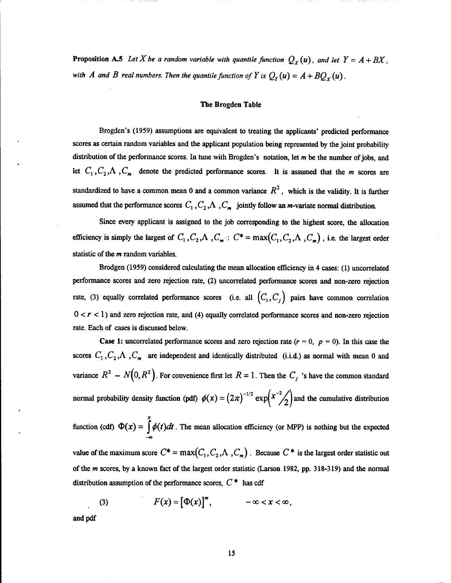Proposition A.5 Let  $X$  be a random variable with quantile function  $Q_X(u)$ , and let  $Y = A + BX$ , *with A* and *B real numbers. Then the quantile function of Y is*  $Q_r(u) = A + BQ_x(u)$ .

#### The Brogden Table

Brogden's (1959) assumptions are equivalent to treating the applicants' predicted performance scores as certain random variables and the applicant population being represented by the joint probability distribution of the performance scores. In tune with Brogden's notation, let *m* be the number of jobs, and let  $C_1$ ,  $C_2$ ,  $\Lambda$ ,  $C_m$  denote the predicted performance scores. It is assumed that the *m* scores are standardized to have a common mean 0 and a common variance  $R^2$ , which is the validity. It is further assumed that the performance scores  $C_1$ ,  $C_2$ ,  $\Lambda$ ,  $C_m$  jointly follow an *m*-variate normal distribution.

Since every applicant is assigned to the job corresponding to the highest score, the allocation efficiency is simply the largest of  $C_1$ ,  $C_2$ ,  $\Lambda$ ,  $C_m$  :  $C^* = \max(C_1, C_2, \Lambda, C_m)$ , i.e. the largest order statistic of the *m* random variables.

Brodgen (1959) considered calculating the mean allocation efficiency in 4 cases: (1) uncorrelated performance scores and zero rejection rate, (2) uncorrelated performance scores and non-zero rejection rate, (3) equally correlated performance scores (i.e. all  $(C_i, C_j)$  pairs have common correlation  $0 < r < 1$ ) and zero rejection rate, and (4) equally correlated performance scores and non-zero rejection rate. Each of cases is discussed below.

**Case 1:** uncorrelated performance scores and zero rejection rate  $(r = 0, p = 0)$ . In this case the scores  $C_1$ ,  $C_2$ ,  $\Lambda$ ,  $C_m$  are independent and identically distributed (i.i.d.) as normal with mean 0 and variance  $R^2 - N(0, R^2)$ . For convenience first let  $R = 1$ . Then the  $C_j$  's have the common standard normal probability density function (pdf)  $\phi(x) = (2\pi)^{-1/2} \exp\left(x^{-2}/2\right)$  and the cumulative distribution

function (cdf)  $\Phi(x) = \int_{0}^{x} \phi(t)dt$ . The mean allocation efficiency (or MPP) is nothing but the expected

value of the maximum score  $C^* = \max(C_1, C_2, \Lambda, C_m)$ . Because  $C^*$  is the largest order statistic out ofthe *m* scores, by a known fact of the largest order statistic (Larson 1982, pp. 318-319) and the normal distribution assumption of the performance scores,  $C^*$  has cdf

(3) 
$$
F(x) = [\Phi(x)]^m, \qquad -\infty < x < \infty,
$$

and pdf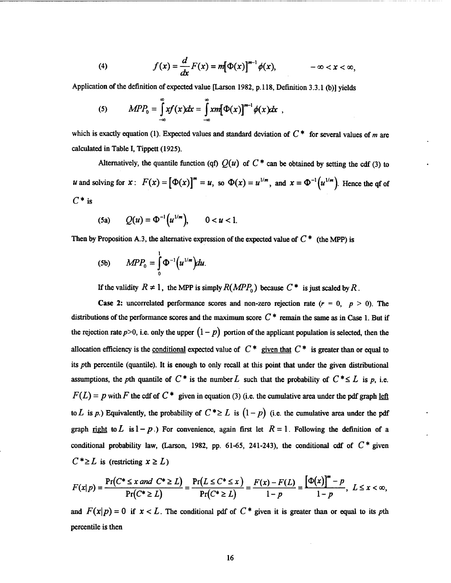(4) 
$$
f(x) = \frac{d}{dx}F(x) = m[\Phi(x)]^{m-1}\phi(x), \qquad -\infty < x < \infty,
$$

Application of the definition of expected value [Larson 1982, p.118, Definition 3.3.1 (b)] yields

(5) 
$$
MPP_0 = \int_{-\infty}^{\infty} x f(x) dx = \int_{-\infty}^{\infty} x m [\Phi(x)]^{m-1} \phi(x) dx,
$$

which is exactly equation (1). Expected values and standard deviation of  $C^*$  for several values of *m* are calculated in Table I, Tippett (1925).

Alternatively, the quantile function (qf)  $Q(u)$  of  $C^*$  can be obtained by setting the cdf (3) to *u* and solving for  $x: F(x) = [\Phi(x)]^m = u$ , so  $\Phi(x) = u^{1/m}$ , and  $x = \Phi^{-1}(u^{1/m})$ . Hence the qf of  $C^*$  is

(5a) 
$$
Q(u) = \Phi^{-1}(u^{1/m}), \qquad 0 < u < 1.
$$

Then by Proposition A.3, the alternative expression of the expected value of  $C^*$  (the MPP) is

$$
(5b) \qquad MPP_0 = \int_0^1 \Phi^{-1}\big(u^{1/m}\big)du.
$$

If the validity  $R \neq 1$ , the MPP is simply  $R(MPP_0)$  because  $C^*$  is just scaled by R.

**Case 2:** uncorrelated performance scores and non-zero rejection rate  $(r = 0, p > 0)$ . The distributions of the performance scores and the maximum score  $C^*$  remain the same as in Case 1. But if the rejection rate  $p>0$ , i.e. only the upper  $(1-p)$  portion of the applicant population is selected, then the allocation efficiency is the <u>conditional</u> expected value of  $C^*$  given that  $C^*$  is greater than or equal to its *pth* percentile (quantile). It is enough to only recall at this point that under the given distributional assumptions, the *pth* quantile of  $C^*$  is the number  $L$  such that the probability of  $C^* \leq L$  is  $p$ , i.e.  $F(L) = p$  with *F* the cdf of  $C^*$  given in equation (3) (i.e. the cumulative area under the pdf graph left to L is p.) Equivalently, the probability of  $C^* \geq L$  is  $(1-p)$  (i.e. the cumulative area under the pdf graph right to L is  $1-p$ .) For convenience, again first let  $R = 1$ . Following the definition of a conditional probability law, (Larson, 1982, pp. 61-65, 241-243), the conditional cdf of  $C^*$  given

$$
C^* \ge L \text{ is (restricting } x \ge L)
$$
  

$$
F(x|p) = \frac{\Pr(C^* \le x \text{ and } C^* \ge L)}{\Pr(C^* \ge L)} = \frac{\Pr(L \le C^* \le x)}{\Pr(C^* \ge L)} = \frac{F(x) - F(L)}{1 - p} = \frac{[\Phi(x)]^m - p}{1 - p}, L \le x < \infty,
$$

and  $F(x|p) = 0$  if  $x < L$ . The conditional pdf of  $C^*$  given it is greater than or equal to its *pth* percentile is then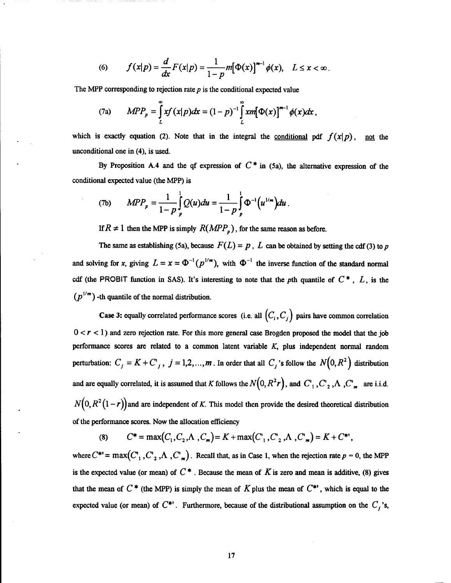(6) 
$$
f(x|p) = \frac{d}{dx}F(x|p) = \frac{1}{1-p}m[\Phi(x)]^{m-1}\phi(x), \quad L \leq x < \infty.
$$

The MPP corresponding to rejection rate  $p$  is the conditional expected value

(7a) 
$$
MPP_p = \int_{L}^{\infty} xf(x|p)dx = (1-p)^{-1} \int_{L}^{\infty} x m[\Phi(x)]^{m-1} \phi(x)dx,
$$

which is exactly equation (2). Note that in the integral the <u>conditional</u> pdf  $f(x|p)$ , not the unconditional one in (4), is used.

By Proposition A.4 and the qf expression of  $C^*$  in (5a), the alternative expression of the conditional expected value (the MPP) is

(7b) 
$$
MPP_p = \frac{1}{1-p} \int_p^1 Q(u) du = \frac{1}{1-p} \int_p^1 \Phi^{-1}(u^{1/m}) du.
$$

*If*  $R \neq 1$  then the MPP is simply  $R(MPP_p)$ , for the same reason as before.

The same as establishing (5a), because  $F(L) = p$ , *L* can be obtained by setting the cdf (3) to *p* and solving for *x*, giving  $L = x = \Phi^{-1}(p^{1/m})$ , with  $\Phi^{-1}$  the inverse function of the standard normal cdf (the PROBIT function in SAS). It's interesting to note that the *p*th quantile of  $C^*$ ,  $L$ , is the  $(p^{1/m})$  -th quantile of the normal distribution.

Case 3: equally correlated performance scores (i.e. all  $(C_i, C_j)$  pairs have common correlation  $0 < r < 1$ ) and zero rejection rate. For this more general case Brogden proposed the model that the job performance scores are related to a common latent variable *K,* plus independent normal random perturbation:  $C_j = K + C_j$ ,  $j = 1, 2, ..., m$ . In order that all  $C_j$ 's follow the  $N(0, R^2)$  distribution and are equally correlated, it is assumed that K follows the  $N(0, R^2r)$ , and  $C_1$ ,  $C_2$ ,  $\Lambda$ ,  $C_m$  are i.i.d.  $N(0, R^2(1 - r))$  and are independent of *K*. This model then provide the desired theoretical distribution of the performance scores. Now the allocation efficiency

(8) 
$$
C^* = \max(C_1, C_2, \Lambda, C_m) = K + \max(C_1, C_2, \Lambda, C_m) = K + C^*.
$$

where  $C^{*'} = \max(C_1, C_2, \Lambda, C_m)$ . Recall that, as in Case 1, when the rejection rate  $p = 0$ , the MPP is the expected value (or mean) of  $C^*$ . Because the mean of  $K$  is zero and mean is additive, (8) gives that the mean of  $C^*$  (the MPP) is simply the mean of  $K$  plus the mean of  $C^*'$ , which is equal to the expected value (or mean) of  $C^*$ . Furthermore, because of the distributional assumption on the  $C_j$ 's,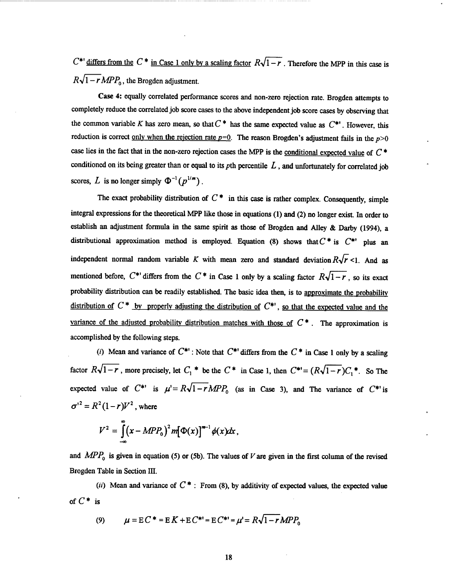$C^*$ ' differs from the  $C^*$  in Case 1 only by a scaling factor  $R\sqrt{1-r}$ . Therefore the MPP in this case is  $R\sqrt{1-r}MPP_0$ , the Brogden adjustment.

Case 4: equally correlated performance scores and non-zero rejection rate. Brogden attempts to completely reduce the correlated job score cases to the above independent job score cases by observing that the common variable *K* has zero mean, so that  $C^*$  has the same expected value as  $C^*$ . However, this reduction is correct <u>only when the rejection rate  $p=0$ </u>. The reason Brogden's adjustment fails in the  $p>0$ case lies in the fact that in the non-zero rejection cases the MPP is the conditional expected value of *C \** conditioned on its being greater than or equal to its *pth* percentile *L* , and unfortunately for correlated job scores, L is no longer simply  $\Phi^{-1}(p^{1/m})$ .

The exact probability distribution of  $C^*$  in this case is rather complex. Consequently, simple integral expressions for the theoretical MPP like those in equations (1) and (2) no longer exist. In order to establish an adjustment formula in the same spirit as those of Brogden and Alley & Darby (1994), a distributional approximation method is employed. Equation (8) shows that  $C^*$  is  $C^{*}$  plus an independent normal random variable *K* with mean zero and standard deviation  $R\sqrt{r}$  <1. And as mentioned before,  $C^*$  differs from the  $C^*$  in Case 1 only by a scaling factor  $R\sqrt{1-r}$ , so its exact probability distribution can be readily established. The basic idea then, is to approximate the probability distribution of *<sup>C</sup>* \* by properly adjusting the distribution of *C\*'*, so that the expected value and the variance of the adjusted probability distribution matches with those of  $C^*$ . The approximation is accomplished by the following steps.

(*i*) Mean and variance of  $C^{**}$ : Note that  $C^{**}$  differs from the  $C^*$  in Case 1 only by a scaling factor  $R\sqrt{1-r}$ , more precisely, let  $C_1^*$  be the  $C^*$  in Case 1, then  $C^{**}=(R\sqrt{1-r})C_1^*$ . So The expected value of  $C^{**}$  is  $\mu' = R\sqrt{1 - r}MPP_0$  (as in Case 3), and The variance of  $C^{**}$  is  $\sigma^{12} = R^2(1 - r)V^2$ , where

$$
V^2 = \int_{-\infty}^{\infty} (x - MPP_0)^2 m [\Phi(x)]^{m-1} \phi(x) dx,
$$

and  $MPP_0$  is given in equation (5) or (5b). The values of V are given in the first column of the revised Brogden Table in Section HI.

(ii) Mean and variance of  $C^*$ : From (8), by additivity of expected values, the expected value of *C\** is

(9) 
$$
\mu = E C^* = E K + E C^{**} = E C^{**} = \mu' = R \sqrt{1 - r} M P P_0
$$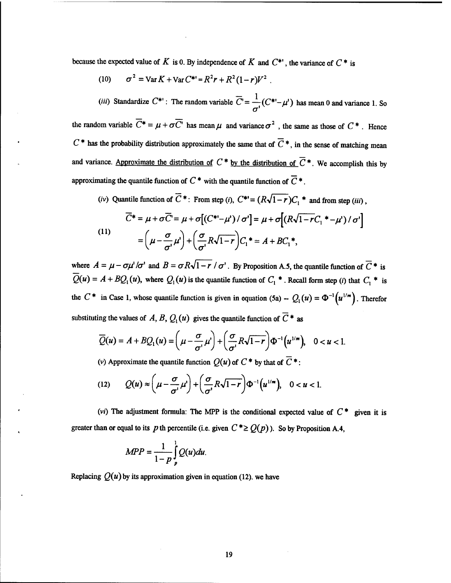because the expected value of  $K$  is 0. By independence of  $K$  and  $C^*$ , the variance of  $C^*$  is

 $(10)$  $= \text{Var}\,K + \text{Var}\,C^{**} = R^2r + R^2(1-r)V^2$ .

*(iii)* Standardize  $C^{**}$ : The random variable  $\overline{C} = \frac{1}{\sqrt{C^{**}} - \mu'}$  has mean 0 and variance 1. So *&* the random variable  $\overline{C^*} = \mu + \sigma \overline{C'}$  has mean  $\mu$  and variance  $\sigma^2$ , the same as those of  $C^*$ . Hence  $C^*$  has the probability distribution approximately the same that of  $\overline{C}^*$ , in the sense of matching mean and variance. Approximate the distribution of  $C^*$  by the distribution of  $\overline{C}^*$ . We accomplish this by approximating the quantile function of  $C^*$  with the quantile function of  $\overline{C}^*$ .

(iv) Quantile function of  $\overline{C}^*$ : From step (i),  $C^{*} = (R\sqrt{1-r})C_1^*$  and from step (iii),

$$
\overline{C}^* = \mu + \sigma \overline{C} = \mu + \sigma \left[ \left( C^{* -} \mu' \right) / \sigma' \right] = \mu + \sigma \left[ \left( R \sqrt{1 - r} C_1^* - \mu' \right) / \sigma' \right]
$$
\n
$$
= \left( \mu - \frac{\sigma}{\sigma'} \mu' \right) + \left( \frac{\sigma}{\sigma'} R \sqrt{1 - r} \right) C_1^* = A + BC_1^*,
$$

where  $A = \mu - \frac{\sigma \mu'}{\sigma'}$  and  $B = \frac{\sigma R \sqrt{1 - r}}{\sigma'}$ . By Proposition A.5, the quantile function of  $\overline{C}$  \* is  $\overline{Q}(u) = A + BQ_1(u)$ , where  $Q_1(u)$  is the quantile function of  $C_1^*$ . Recall form step (*i*) that  $C_1^*$  is the  $C^*$  in Case 1, whose quantile function is given in equation (5a)  $-Q_1(u) = \Phi^{-1}(u^{1/m})$ . Therefor substituting the values of *A*, *B*,  $Q_i(u)$  gives the quantile function of  $\overline{C}$  \* as

$$
\overline{Q}(u) = A + BQ_1(u) = \left(\mu - \frac{\sigma}{\sigma'}\mu'\right) + \left(\frac{\sigma}{\sigma'}R\sqrt{1-r}\right)\Phi^{-1}\left(u^{1/m}\right), \quad 0 < u < 1.
$$

(v) Approximate the quantile function  $O(u)$  of  $C^*$  by that of  $\overline{C}^*$ :

(12) 
$$
Q(u) \approx \left(\mu - \frac{\sigma}{\sigma'}\mu'\right) + \left(\frac{\sigma}{\sigma'}R\sqrt{1-r}\right)\Phi^{-1}\left(u^{1/m}\right), \quad 0 < u < 1.
$$

*(vi)* The adjustment formula: The MPP is the conditional expected value of  $C^*$  given it is greater than or equal to its *p* th percentile (i.e. given  $C^* \geq Q(p)$ ). So by Proposition A.4,

$$
MPP = \frac{1}{1-p} \int_{p}^{1} Q(u) du.
$$

Replacing  $O(u)$  by its approximation given in equation (12), we have